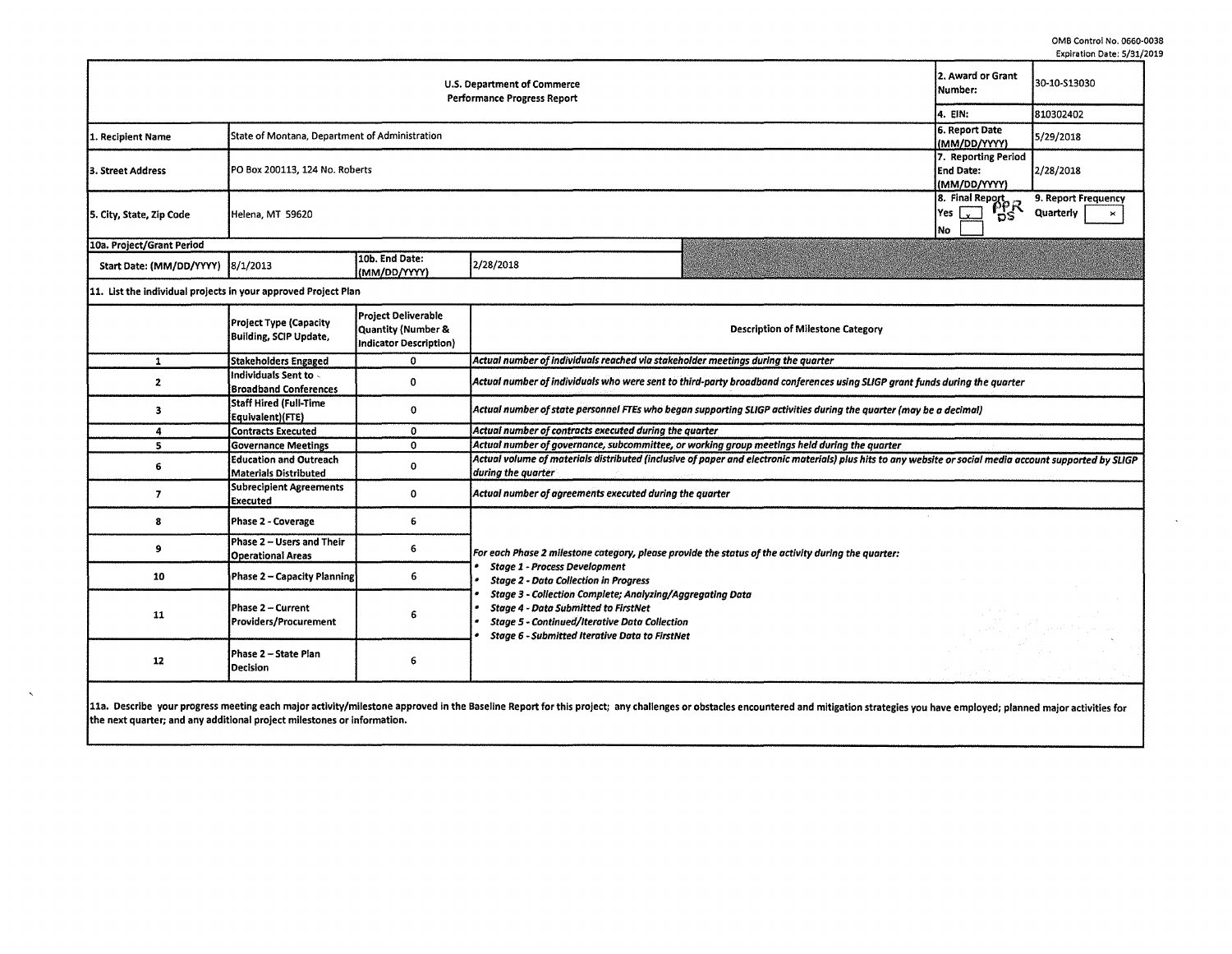$\sim$ 

|                                                                   |                                                                |                                                                     |                                                                                                                                                                                                                           |                                                                                                            | cybirdtion pate, 3131            |  |  |  |  |
|-------------------------------------------------------------------|----------------------------------------------------------------|---------------------------------------------------------------------|---------------------------------------------------------------------------------------------------------------------------------------------------------------------------------------------------------------------------|------------------------------------------------------------------------------------------------------------|----------------------------------|--|--|--|--|
| U.S. Department of Commerce<br><b>Performance Progress Report</b> |                                                                |                                                                     |                                                                                                                                                                                                                           |                                                                                                            | 30-10-S13030                     |  |  |  |  |
|                                                                   | 4. EIN:<br>6. Report Date                                      | 810302402                                                           |                                                                                                                                                                                                                           |                                                                                                            |                                  |  |  |  |  |
| 1. Recipient Name                                                 | State of Montana, Department of Administration                 | (MM/DD/YYYY)                                                        | 5/29/2018                                                                                                                                                                                                                 |                                                                                                            |                                  |  |  |  |  |
| 3. Street Address                                                 | PO Box 200113, 124 No. Roberts                                 | 7. Reporting Period<br><b>End Date:</b>                             | 2/28/2018                                                                                                                                                                                                                 |                                                                                                            |                                  |  |  |  |  |
| 5. City, State, Zip Code                                          | Helena, MT 59620                                               |                                                                     |                                                                                                                                                                                                                           | $\begin{array}{r}\n\hline\n\text{AM/DD/1} \\ \hline\n\text{18. Final Report} \\ \hline\n\end{array}$<br>No | 9. Report Frequency<br>Quarterly |  |  |  |  |
| 10a. Project/Grant Period                                         |                                                                |                                                                     |                                                                                                                                                                                                                           |                                                                                                            |                                  |  |  |  |  |
| Start Date: (MM/DD/YYYY) 8/1/2013                                 |                                                                | 10b. End Date:<br>(MM/DD/YYYY)                                      | 2/28/2018                                                                                                                                                                                                                 |                                                                                                            |                                  |  |  |  |  |
| 11. List the individual projects in your approved Project Plan    |                                                                |                                                                     |                                                                                                                                                                                                                           |                                                                                                            |                                  |  |  |  |  |
|                                                                   | <b>Project Type (Capacity</b><br><b>Building, SCIP Update,</b> | Project Deliverable<br>Quantity (Number &<br>Indicator Description) | <b>Description of Milestone Category</b>                                                                                                                                                                                  |                                                                                                            |                                  |  |  |  |  |
| $\mathbf{1}$                                                      | <b>Stakeholders Engaged</b>                                    | $\mathbf 0$                                                         | Actual number of individuals reached via stakeholder meetings during the quarter                                                                                                                                          |                                                                                                            |                                  |  |  |  |  |
| $\mathbf{2}$                                                      | Individuals Sent to -<br><b>Broadband Conferences</b>          | $\mathbf 0$                                                         | Actual number of individuals who were sent to third-party broadband conferences using SLIGP grant funds during the quarter                                                                                                |                                                                                                            |                                  |  |  |  |  |
| 3                                                                 | Staff Hired (Full-Time<br>Equivalent)(FTE)                     | 0                                                                   | Actual number of state personnel FTEs who began supporting SLIGP activities during the quarter (may be a decimal)                                                                                                         |                                                                                                            |                                  |  |  |  |  |
| 4                                                                 | <b>Contracts Executed</b>                                      | 0                                                                   | Actual number of contracts executed during the quarter                                                                                                                                                                    |                                                                                                            |                                  |  |  |  |  |
| 5                                                                 | <b>Governance Meetings</b>                                     | 0                                                                   | Actual number of governance, subcommittee, or working group meetings held during the quarter                                                                                                                              |                                                                                                            |                                  |  |  |  |  |
| 6                                                                 | <b>Education and Outreach</b><br><b>Materials Distributed</b>  | 0                                                                   | Actual volume of materials distributed (inclusive of paper and electronic materials) plus hits to any website or social media account supported by SLIGP<br>during the quarter                                            |                                                                                                            |                                  |  |  |  |  |
| $\overline{\mathbf{z}}$                                           | <b>Subrecipient Agreements</b><br>Executed                     | 0                                                                   | Actual number of agreements executed during the quarter                                                                                                                                                                   |                                                                                                            |                                  |  |  |  |  |
| 8                                                                 | <b>Phase 2 - Coverage</b>                                      | 6                                                                   |                                                                                                                                                                                                                           |                                                                                                            |                                  |  |  |  |  |
| 9                                                                 | Phase 2 - Users and Their<br><b>Operational Areas</b>          | 6                                                                   | For each Phase 2 milestone category, please provide the status of the activity during the quarter:<br><b>Stage 1 - Process Development</b><br><b>Stage 2 - Data Collection in Progress</b>                                |                                                                                                            |                                  |  |  |  |  |
| 10                                                                | <b>Phase 2 - Capacity Planning</b>                             | 6                                                                   |                                                                                                                                                                                                                           |                                                                                                            |                                  |  |  |  |  |
| 11                                                                | Phase 2 - Current<br>Providers/Procurement                     | 6                                                                   | Stage 3 - Collection Complete; Analyzing/Aggregating Data<br><b>Stage 4 - Data Submitted to FirstNet</b><br><b>Stage 5 - Continued/Iterative Data Collection</b><br><b>Stage 6 - Submitted Iterative Data to FirstNet</b> |                                                                                                            |                                  |  |  |  |  |
| 12                                                                | Phase 2 - State Plan<br><b>Decision</b>                        | 6                                                                   |                                                                                                                                                                                                                           |                                                                                                            |                                  |  |  |  |  |

 $\propto$ 

11a. Describe your progress meeting each major activity/milestone approved in the Baseline Report for this project; any challenges or obstacles encountered and mitigation strategies you have employed; planned major activit the next quarter; and any additional project milestones or information.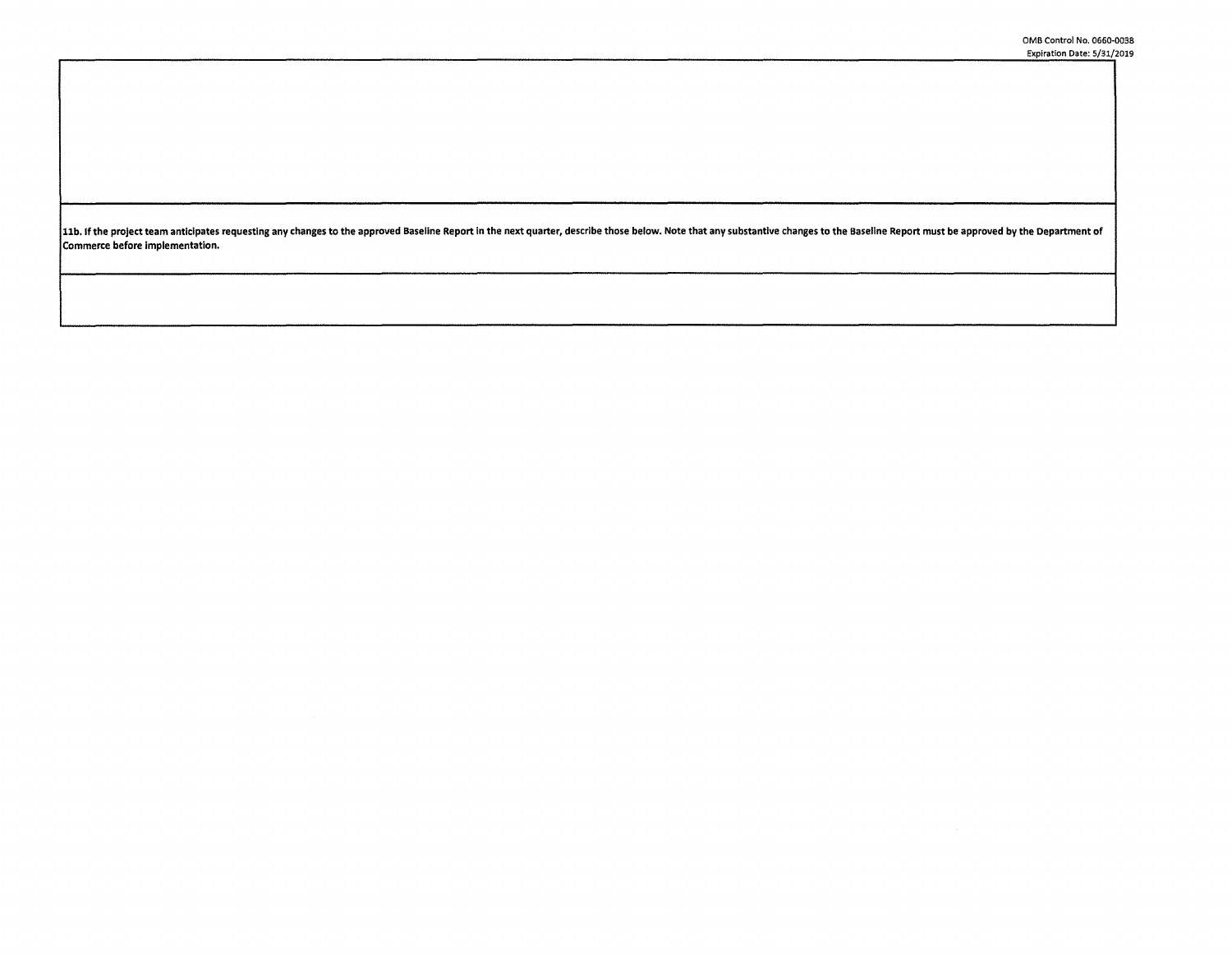11b. If the project team anticipates requesting any changes to the approved Baseline Report in the next quarter, describe those below. Note that any substantive changes to the Baseline Report must be approved by the Depart **Commerce before implementation.**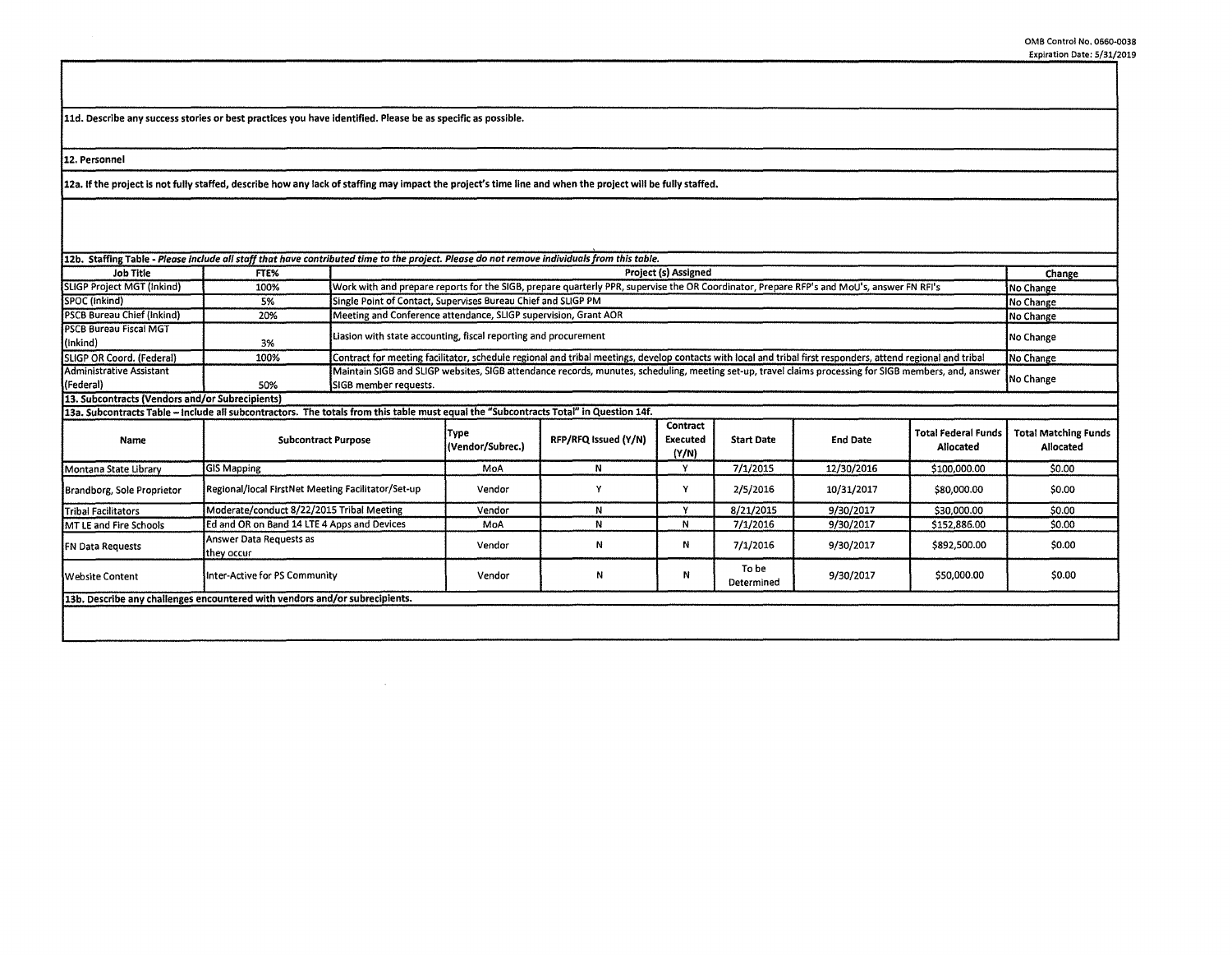**lld. Describe any success stories or best practices you have identified. Please be as specific as possible.** 

**12. Personnel** 

12a. lfthe project is not fully staffed, describe how any lack of staffing may impact the project's time line and when the project will be fully staffed.

 $\sim 10^{-1}$ 

| <b>Job Title</b>                                                                                                                      | FTE%                                               |                       | 12b. Staffing Table - Please include all staff that have contributed time to the project. Please do not remove individuals from this table.<br>Project (s) Assigned       |                      |                               |                     |                 |                                         | Change                                   |
|---------------------------------------------------------------------------------------------------------------------------------------|----------------------------------------------------|-----------------------|---------------------------------------------------------------------------------------------------------------------------------------------------------------------------|----------------------|-------------------------------|---------------------|-----------------|-----------------------------------------|------------------------------------------|
| SLIGP Project MGT (Inkind)                                                                                                            | 100%                                               |                       | Work with and prepare reports for the SIGB, prepare quarterly PPR, supervise the OR Coordinator, Prepare RFP's and MoU's, answer FN RFI's                                 |                      |                               |                     |                 |                                         | No Change                                |
| SPOC (Inkind)                                                                                                                         | 5%                                                 |                       | Single Point of Contact, Supervises Bureau Chief and SLIGP PM                                                                                                             |                      |                               |                     |                 |                                         | No Change                                |
| <b>PSCB Bureau Chief (Inkind)</b>                                                                                                     | 20%                                                |                       | Meeting and Conference attendance, SLIGP supervision, Grant AOR                                                                                                           |                      |                               |                     |                 |                                         | No Change                                |
| <b>PSCB Bureau Fiscal MGT</b><br>(Inkind)                                                                                             | 3%                                                 |                       | Liasion with state accounting, fiscal reporting and procurement                                                                                                           |                      |                               |                     |                 |                                         | No Change                                |
| SLIGP OR Coord. (Federal)                                                                                                             | 100%                                               |                       | Contract for meeting facilitator, schedule regional and tribal meetings, develop contacts with local and tribal first responders, attend regional and tribal<br>No Change |                      |                               |                     |                 |                                         |                                          |
| Administrative Assistant<br>(Federal)                                                                                                 | 50%                                                | SIGB member requests. | Maintain SIGB and SLIGP websites, SIGB attendance records, munutes, scheduling, meeting set-up, travel claims processing for SIGB members, and, answer<br>No Change       |                      |                               |                     |                 |                                         |                                          |
| 13. Subcontracts (Vendors and/or Subrecipients)                                                                                       |                                                    |                       |                                                                                                                                                                           |                      |                               |                     |                 |                                         |                                          |
| 13a. Subcontracts Table - include all subcontractors. The totals from this table must equal the "Subcontracts Total" in Question 14f. |                                                    |                       |                                                                                                                                                                           |                      |                               |                     |                 |                                         |                                          |
| Name                                                                                                                                  | <b>Subcontract Purpose</b>                         |                       | Type<br>(Vendor/Subrec.)                                                                                                                                                  | RFP/RFQ Issued (Y/N) | Contract<br>Executed<br>(Y/N) | <b>Start Date</b>   | <b>End Date</b> | <b>Total Federal Funds</b><br>Allocated | <b>Total Matching Funds</b><br>Allocated |
| Montana State Library                                                                                                                 | GIS Mapping                                        |                       | MoA                                                                                                                                                                       | N                    | Y                             | 7/1/2015            | 12/30/2016      | \$100,000.00                            | \$0.00                                   |
| Brandborg, Sole Proprietor                                                                                                            | Regional/local FirstNet Meeting Facilitator/Set-up |                       | Vendor                                                                                                                                                                    |                      | ۷                             | 2/5/2016            | 10/31/2017      | \$80,000.00                             | \$0.00                                   |
| <b>Tribal Facilitators</b>                                                                                                            | Moderate/conduct 8/22/2015 Tribal Meeting          |                       | Vendor                                                                                                                                                                    | N                    | v                             | 8/21/2015           | 9/30/2017       | \$30,000.00                             | \$0.00                                   |
| MT LE and Fire Schools                                                                                                                | Ed and OR on Band 14 LTE 4 Apps and Devices        |                       | MoA                                                                                                                                                                       | N                    | N                             | 7/1/2016            | 9/30/2017       | \$152,886.00                            | \$0.00                                   |
| <b>FN Data Requests</b>                                                                                                               | Answer Data Requests as<br>they occur              |                       | Vendor                                                                                                                                                                    | И                    | Ν                             | 7/1/2016            | 9/30/2017       | \$892,500.00                            | \$0.00                                   |
|                                                                                                                                       | Inter-Active for PS Community                      |                       | Vendor                                                                                                                                                                    | N                    | N                             | To be<br>Determined | 9/30/2017       | \$50,000.00                             | \$0.00                                   |